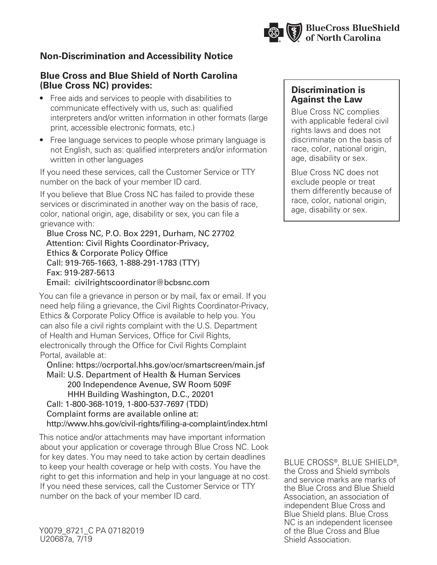

## **Non-Discrimination and Accessibility Notice**

## **Blue Cross and Blue Shield of North Carolina (Blue Cross NC) provides:**

- Free aids and services to people with disabilities to communicate effectively with us, such as: qualified interpreters and/or written information in other formats (large print, accessible electronic formats, etc.)
- Free language services to people whose primary language is not English, such as: qualified interpreters and/or information written in other languages

If you need these services, call the Customer Service or TTY number on the back of your member ID card.

If you believe that Blue Cross NC has failed to provide these services or discriminated in another way on the basis of race, color, national origin, age, disability or sex, you can file a grievance with:

 Blue Cross NC, P.O. Box 2291, Durham, NC 27702 Attention: Civil Rights Coordinator-Privacy, Ethics & Corporate Policy Office Call: 919-765-1663, 1-888-291-1783 (TTY) Fax: 919-287-5613 Email: civilrightscoordinator@bcbsnc.com

You can file a grievance in person or by mail, fax or email. If you need help filing a grievance, the Civil Rights Coordinator-Privacy, Ethics & Corporate Policy Office is available to help you. You can also file a civil rights complaint with the U.S. Department of Health and Human Services, Office for Civil Rights, electronically through the Office for Civil Rights Complaint Portal, available at:

 Online: https://ocrportal.hhs.gov/ocr/smartscreen/main.jsf Mail: U.S. Department of Health & Human Services 200 Independence Avenue, SW Room 509F HHH Building Washington, D.C., 20201 Call: 1-800-368-1019, 1-800-537-7697 (TDD) Complaint forms are available online at: http://www.hhs.gov/civil-rights/filing-a-complaint/index.html

This notice and/or attachments may have important information about your application or coverage through Blue Cross NC. Look for key dates. You may need to take action by certain deadlines to keep your health coverage or help with costs. You have the right to get this information and help in your language at no cost. If you need these services, call the Customer Service or TTY number on the back of your member ID card.

Y0079 8721 C PA 07182019 U20687a, 7/19

## **Discrimination is Against the Law**

Blue Cross NC complies with applicable federal civil rights laws and does not discriminate on the basis of race, color, national origin, age, disability or sex.

Blue Cross NC does not exclude people or treat them differently because of race, color, national origin, age, disability or sex.

BLUE CROSS®, BLUE SHIELD®, the Cross and Shield symbols and service marks are marks of the Blue Cross and Blue Shield Association, an association of independent Blue Cross and Blue Shield plans. Blue Cross NC is an independent licensee of the Blue Cross and Blue Shield Association.